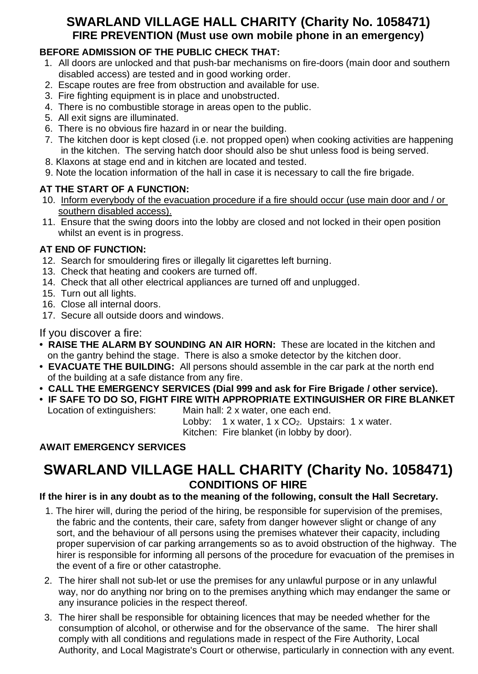### **SWARLAND VILLAGE HALL CHARITY (Charity No. 1058471) FIRE PREVENTION (Must use own mobile phone in an emergency)**

#### **BEFORE ADMISSION OF THE PUBLIC CHECK THAT:**

- 1. All doors are unlocked and that push-bar mechanisms on fire-doors (main door and southern disabled access) are tested and in good working order.
- 2. Escape routes are free from obstruction and available for use.
- 3. Fire fighting equipment is in place and unobstructed.
- 4. There is no combustible storage in areas open to the public.
- 5. All exit signs are illuminated.
- 6. There is no obvious fire hazard in or near the building.
- 7. The kitchen door is kept closed (i.e. not propped open) when cooking activities are happening in the kitchen. The serving hatch door should also be shut unless food is being served.
- 8. Klaxons at stage end and in kitchen are located and tested.
- 9. Note the location information of the hall in case it is necessary to call the fire brigade.

### **AT THE START OF A FUNCTION:**

- 10. Inform everybody of the evacuation procedure if a fire should occur (use main door and / or southern disabled access).
- 11. Ensure that the swing doors into the lobby are closed and not locked in their open position whilst an event is in progress.

### **AT END OF FUNCTION:**

- 12. Search for smouldering fires or illegally lit cigarettes left burning.
- 13. Check that heating and cookers are turned off.
- 14. Check that all other electrical appliances are turned off and unplugged.
- 15. Turn out all lights.
- 16. Close all internal doors.
- 17. Secure all outside doors and windows.

### If you discover a fire:

- **RAISE THE ALARM BY SOUNDING AN AIR HORN:** These are located in the kitchen and on the gantry behind the stage. There is also a smoke detector by the kitchen door.
- **EVACUATE THE BUILDING:** All persons should assemble in the car park at the north end of the building at a safe distance from any fire.
- **CALL THE EMERGENCY SERVICES (Dial 999 and ask for Fire Brigade / other service).**
- **IF SAFE TO DO SO, FIGHT FIRE WITH APPROPRIATE EXTINGUISHER OR FIRE BLANKET** Location of extinguishers: Main hall: 2 x water, one each end.

Lobby:  $1 \times$  water,  $1 \times CO_2$ . Upstairs:  $1 \times$  water.

Kitchen: Fire blanket (in lobby by door).

### **AWAIT EMERGENCY SERVICES**

### **SWARLAND VILLAGE HALL CHARITY (Charity No. 1058471) CONDITIONS OF HIRE**

### **If the hirer is in any doubt as to the meaning of the following, consult the Hall Secretary.**

- 1. The hirer will, during the period of the hiring, be responsible for supervision of the premises, the fabric and the contents, their care, safety from danger however slight or change of any sort, and the behaviour of all persons using the premises whatever their capacity, including proper supervision of car parking arrangements so as to avoid obstruction of the highway. The hirer is responsible for informing all persons of the procedure for evacuation of the premises in the event of a fire or other catastrophe.
- 2. The hirer shall not sub-let or use the premises for any unlawful purpose or in any unlawful way, nor do anything nor bring on to the premises anything which may endanger the same or any insurance policies in the respect thereof.
- 3. The hirer shall be responsible for obtaining licences that may be needed whether for the consumption of alcohol, or otherwise and for the observance of the same. The hirer shall comply with all conditions and regulations made in respect of the Fire Authority, Local Authority, and Local Magistrate's Court or otherwise, particularly in connection with any event.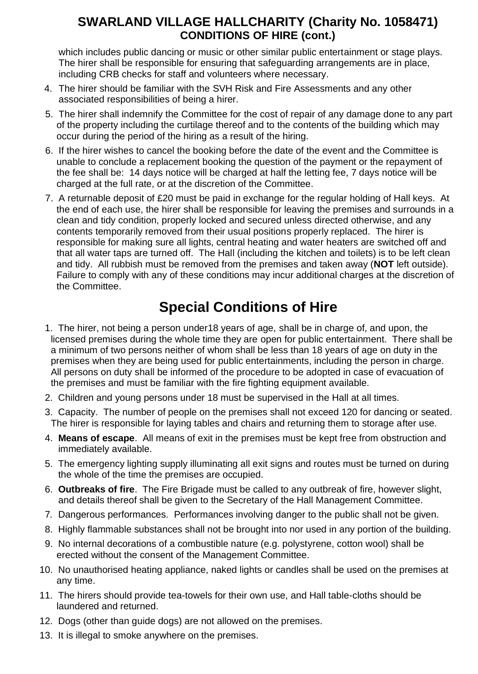### **SWARLAND VILLAGE HALLCHARITY (Charity No. 1058471) CONDITIONS OF HIRE (cont.)**

which includes public dancing or music or other similar public entertainment or stage plays. The hirer shall be responsible for ensuring that safeguarding arrangements are in place, including CRB checks for staff and volunteers where necessary.

- 4. The hirer should be familiar with the SVH Risk and Fire Assessments and any other associated responsibilities of being a hirer.
- 5. The hirer shall indemnify the Committee for the cost of repair of any damage done to any part of the property including the curtilage thereof and to the contents of the building which may occur during the period of the hiring as a result of the hiring.
- 6. If the hirer wishes to cancel the booking before the date of the event and the Committee is unable to conclude a replacement booking the question of the payment or the repayment of the fee shall be: 14 days notice will be charged at half the letting fee, 7 days notice will be charged at the full rate, or at the discretion of the Committee.
- 7. A returnable deposit of £20 must be paid in exchange for the regular holding of Hall keys. At the end of each use, the hirer shall be responsible for leaving the premises and surrounds in a clean and tidy condition, properly locked and secured unless directed otherwise, and any contents temporarily removed from their usual positions properly replaced. The hirer is responsible for making sure all lights, central heating and water heaters are switched off and that all water taps are turned off. The Hall (including the kitchen and toilets) is to be left clean and tidy. All rubbish must be removed from the premises and taken away (**NOT** left outside). Failure to comply with any of these conditions may incur additional charges at the discretion of the Committee.

# **Special Conditions of Hire**

- 1. The hirer, not being a person under18 years of age, shall be in charge of, and upon, the licensed premises during the whole time they are open for public entertainment. There shall be a minimum of two persons neither of whom shall be less than 18 years of age on duty in the premises when they are being used for public entertainments, including the person in charge. All persons on duty shall be informed of the procedure to be adopted in case of evacuation of the premises and must be familiar with the fire fighting equipment available.
- 2. Children and young persons under 18 must be supervised in the Hall at all times.
- 3. Capacity. The number of people on the premises shall not exceed 120 for dancing or seated. The hirer is responsible for laying tables and chairs and returning them to storage after use.
- 4. **Means of escape**. All means of exit in the premises must be kept free from obstruction and immediately available.
- 5. The emergency lighting supply illuminating all exit signs and routes must be turned on during the whole of the time the premises are occupied.
- 6. **Outbreaks of fire**. The Fire Brigade must be called to any outbreak of fire, however slight, and details thereof shall be given to the Secretary of the Hall Management Committee.
- 7*.* Dangerous performances. Performances involving danger to the public shall not be given.
- 8. Highly flammable substances shall not be brought into nor used in any portion of the building.
- 9. No internal decorations of a combustible nature (e.g. polystyrene, cotton wool) shall be erected without the consent of the Management Committee.
- 10. No unauthorised heating appliance, naked lights or candles shall be used on the premises at any time.
- 11. The hirers should provide tea-towels for their own use, and Hall table-cloths should be laundered and returned.
- 12. Dogs (other than guide dogs) are not allowed on the premises.
- 13. It is illegal to smoke anywhere on the premises.